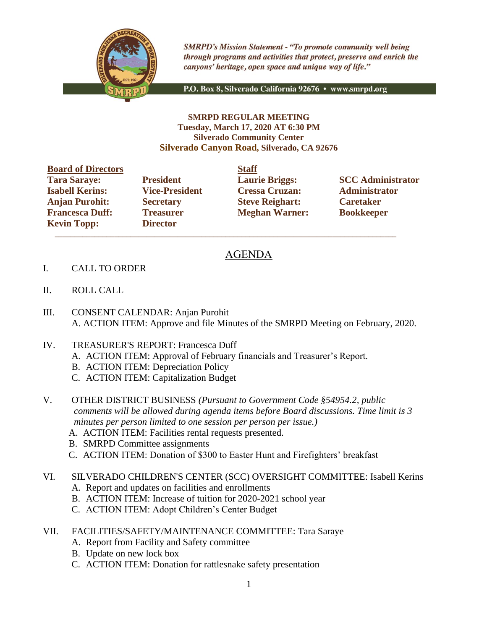

**SMRPD's Mission Statement - "To promote community well being** through programs and activities that protect, preserve and enrich the canyons' heritage, open space and unique way of life."

P.O. Box 8, Silverado California 92676 · www.smrpd.org

## **SMRPD REGULAR MEETING Tuesday, March 17, 2020 AT 6:30 PM Silverado Community Center Silverado Canyon Road, Silverado, CA 92676**

| <b>Board of Directors</b> |                       | <b>Staff</b> |
|---------------------------|-----------------------|--------------|
| <b>Tara Saraye:</b>       | <b>President</b>      | Laur         |
| <b>Isabell Kerins:</b>    | <b>Vice-President</b> | <b>Cres</b>  |
| <b>Anjan Purohit:</b>     | <b>Secretary</b>      | <b>Steve</b> |
| <b>Francesca Duff:</b>    | <b>Treasurer</b>      | Megl         |
| <b>Kevin Topp:</b>        | <b>Director</b>       |              |

**Director**  $\overline{\phantom{a}}$  ,  $\overline{\phantom{a}}$  ,  $\overline{\phantom{a}}$  ,  $\overline{\phantom{a}}$  ,  $\overline{\phantom{a}}$  ,  $\overline{\phantom{a}}$  ,  $\overline{\phantom{a}}$  ,  $\overline{\phantom{a}}$  ,  $\overline{\phantom{a}}$  ,  $\overline{\phantom{a}}$  ,  $\overline{\phantom{a}}$  ,  $\overline{\phantom{a}}$  ,  $\overline{\phantom{a}}$  ,  $\overline{\phantom{a}}$  ,  $\overline{\phantom{a}}$  ,  $\overline{\phantom{a}}$ 

**Isabell Kerins: Vice-President Cressa Cruzan: Administrator Anjan Purohit: Secretary Steve Reighart: Caretaker Freasurer Meghan Warner: Bookkeeper** 

**Tarage: President Laurie Briggs: SCC Administrator** 

## AGENDA

- I. CALL TO ORDER
- II. ROLL CALL
- III. CONSENT CALENDAR: Anjan Purohit A. ACTION ITEM: Approve and file Minutes of the SMRPD Meeting on February, 2020.
- IV. TREASURER'S REPORT: Francesca Duff
	- A. ACTION ITEM: Approval of February financials and Treasurer's Report.
	- B. ACTION ITEM: Depreciation Policy
	- C. ACTION ITEM: Capitalization Budget
- V. OTHER DISTRICT BUSINESS *(Pursuant to Government Code §54954.2, public comments will be allowed during agenda items before Board discussions. Time limit is 3 minutes per person limited to one session per person per issue.)*
	- A. ACTION ITEM: Facilities rental requests presented.
	- B. SMRPD Committee assignments
	- C. ACTION ITEM: Donation of \$300 to Easter Hunt and Firefighters' breakfast

VI. SILVERADO CHILDREN'S CENTER (SCC) OVERSIGHT COMMITTEE: Isabell Kerins

- A. Report and updates on facilities and enrollments
- B. ACTION ITEM: Increase of tuition for 2020-2021 school year
- C. ACTION ITEM: Adopt Children's Center Budget
- VII. FACILITIES/SAFETY/MAINTENANCE COMMITTEE: Tara Saraye
	- A. Report from Facility and Safety committee
	- B. Update on new lock box
	- C. ACTION ITEM: Donation for rattlesnake safety presentation